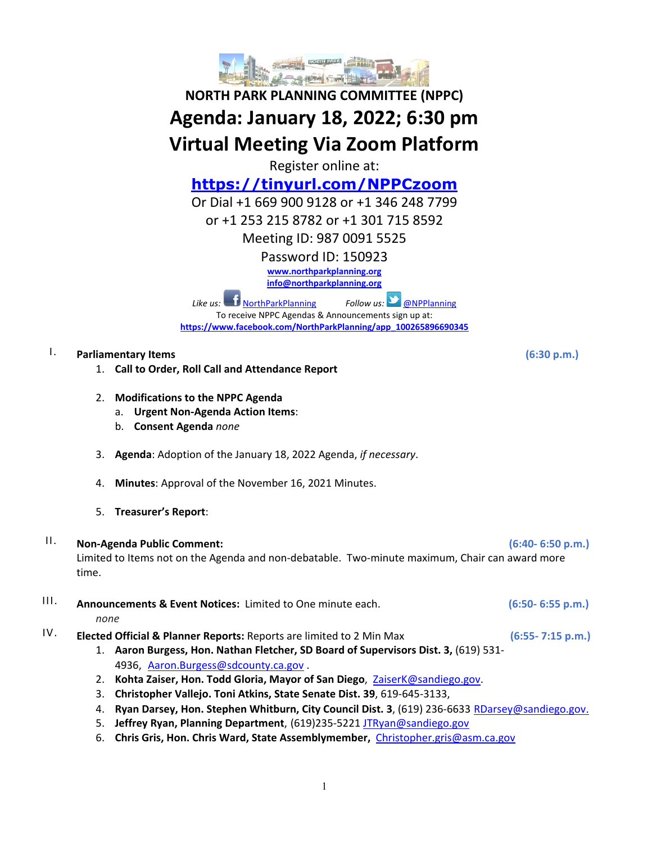

# **NORTH PARK PLANNING COMMITTEE (NPPC) Agenda: January 18, 2022; 6:30 pm Virtual Meeting Via Zoom Platform**

Register online at:

**<https://tinyurl.com/NPPCzoom>**

Or Dial +1 669 900 9128 or +1 346 248 7799

or +1 253 215 8782 or +1 301 715 8592

Meeting ID: 987 0091 5525

Password ID: 150923

**[www.northparkplanning.org](http://www.northparkplanning.org/)**

**[info@northparkplanning.org](mailto:info@northparkplanning.org)**

*Like us:* [NorthParkPlanning](http://www.facebook.com/NorthParkPlanning) *Follow us:* **[@NPPlanning](https://twitter.com/#!/NPPlanning)** To receive NPPC Agendas & Announcements sign up at: **[https://www.facebook.com/NorthParkPlanning/app\\_100265896690345](https://www.facebook.com/NorthParkPlanning/app_100265896690345)**

### I. **Parliamentary Items (6:30 p.m.)**

- 1. **Call to Order, Roll Call and Attendance Report**
- 2. **Modifications to the NPPC Agenda**
	- a. **Urgent Non-Agenda Action Items**:
	- b. **Consent Agenda** *none*
- 3. **Agenda**: Adoption of the January 18, 2022 Agenda, *if necessary*.
- 4. **Minutes**: Approval of the November 16, 2021 Minutes.
- 5. **Treasurer's Report**:

## II. **Non-Agenda Public Comment: (6:40- 6:50 p.m.)**

Limited to Items not on the Agenda and non-debatable. Two-minute maximum, Chair can award more time.

## III. **Announcements & Event Notices:** Limited to One minute each. **(6:50- 6:55 p.m.)** *none*

- IV. **Elected Official & Planner Reports:** Reports are limited to 2 Min Max **(6:55- 7:15 p.m.)**
	- 1. **Aaron Burgess, Hon. Nathan Fletcher, SD Board of Supervisors Dist. 3,** (619) 531- 4936, [Aaron.Burgess@sdcounty.ca.gov](mailto:Aaron.Burgess@sdcounty.ca.gov) .
	- 2. **Kohta Zaiser, Hon. Todd Gloria, Mayor of San Diego**, ZaiserK@sandiego.gov.
	- 3. **Christopher Vallejo. Toni Atkins, State Senate Dist. 39**, 619-645-3133,
	- 4. **Ryan Darsey, Hon. Stephen Whitburn, City Council Dist. 3**, (619) 236-6633 RDarsey@sandiego.gov.
	- 5. **Jeffrey Ryan, Planning Department**, (619)235-5221 [JTRyan@sandiego.gov](mailto:JTRyan@sandiego.gov)
	- 6. **Chris Gris, Hon. Chris Ward, State Assemblymember,** [Christopher.gris@asm.ca.gov](mailto:Christopher.gris@asm.ca.gov)